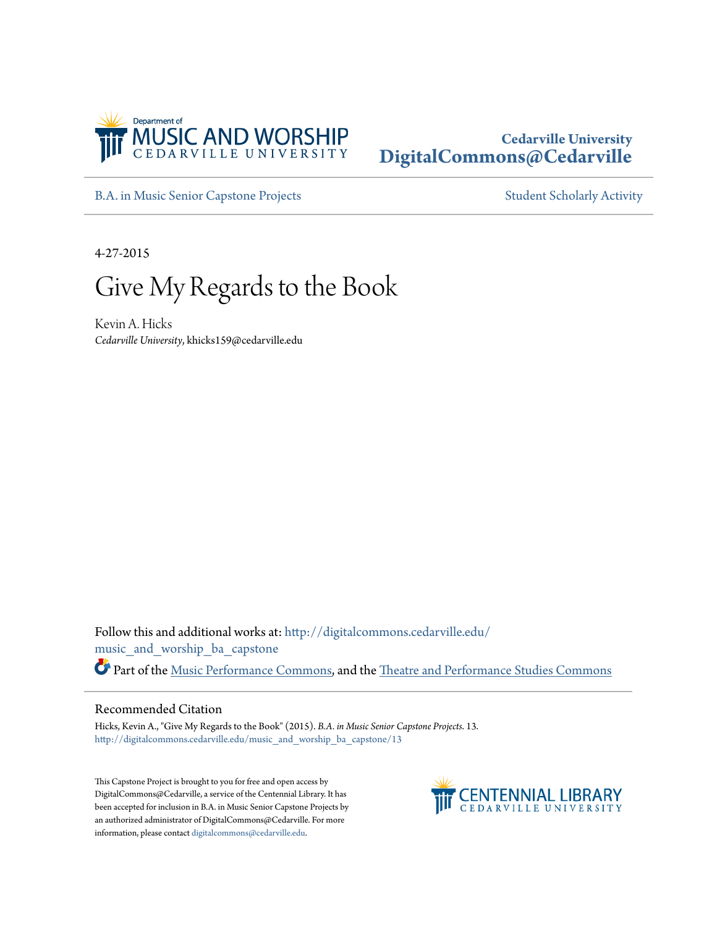

## **Cedarville University [DigitalCommons@Cedarville](http://digitalcommons.cedarville.edu?utm_source=digitalcommons.cedarville.edu%2Fmusic_and_worship_ba_capstone%2F13&utm_medium=PDF&utm_campaign=PDFCoverPages)**

[B.A. in Music Senior Capstone Projects](http://digitalcommons.cedarville.edu/music_and_worship_ba_capstone?utm_source=digitalcommons.cedarville.edu%2Fmusic_and_worship_ba_capstone%2F13&utm_medium=PDF&utm_campaign=PDFCoverPages) [Student Scholarly Activity](http://digitalcommons.cedarville.edu/music_student_scholarly_activity?utm_source=digitalcommons.cedarville.edu%2Fmusic_and_worship_ba_capstone%2F13&utm_medium=PDF&utm_campaign=PDFCoverPages)

4-27-2015

# Give My Regards to the Book

Kevin A. Hicks *Cedarville University*, khicks159@cedarville.edu

Follow this and additional works at: [http://digitalcommons.cedarville.edu/](http://digitalcommons.cedarville.edu/music_and_worship_ba_capstone?utm_source=digitalcommons.cedarville.edu%2Fmusic_and_worship_ba_capstone%2F13&utm_medium=PDF&utm_campaign=PDFCoverPages) [music\\_and\\_worship\\_ba\\_capstone](http://digitalcommons.cedarville.edu/music_and_worship_ba_capstone?utm_source=digitalcommons.cedarville.edu%2Fmusic_and_worship_ba_capstone%2F13&utm_medium=PDF&utm_campaign=PDFCoverPages) Part of the [Music Performance Commons](http://network.bepress.com/hgg/discipline/1128?utm_source=digitalcommons.cedarville.edu%2Fmusic_and_worship_ba_capstone%2F13&utm_medium=PDF&utm_campaign=PDFCoverPages), and the [Theatre and Performance Studies Commons](http://network.bepress.com/hgg/discipline/552?utm_source=digitalcommons.cedarville.edu%2Fmusic_and_worship_ba_capstone%2F13&utm_medium=PDF&utm_campaign=PDFCoverPages)

#### Recommended Citation

Hicks, Kevin A., "Give My Regards to the Book" (2015). *B.A. in Music Senior Capstone Projects*. 13. [http://digitalcommons.cedarville.edu/music\\_and\\_worship\\_ba\\_capstone/13](http://digitalcommons.cedarville.edu/music_and_worship_ba_capstone/13?utm_source=digitalcommons.cedarville.edu%2Fmusic_and_worship_ba_capstone%2F13&utm_medium=PDF&utm_campaign=PDFCoverPages)

This Capstone Project is brought to you for free and open access by DigitalCommons@Cedarville, a service of the Centennial Library. It has been accepted for inclusion in B.A. in Music Senior Capstone Projects by an authorized administrator of DigitalCommons@Cedarville. For more information, please contact [digitalcommons@cedarville.edu.](mailto:digitalcommons@cedarville.edu)

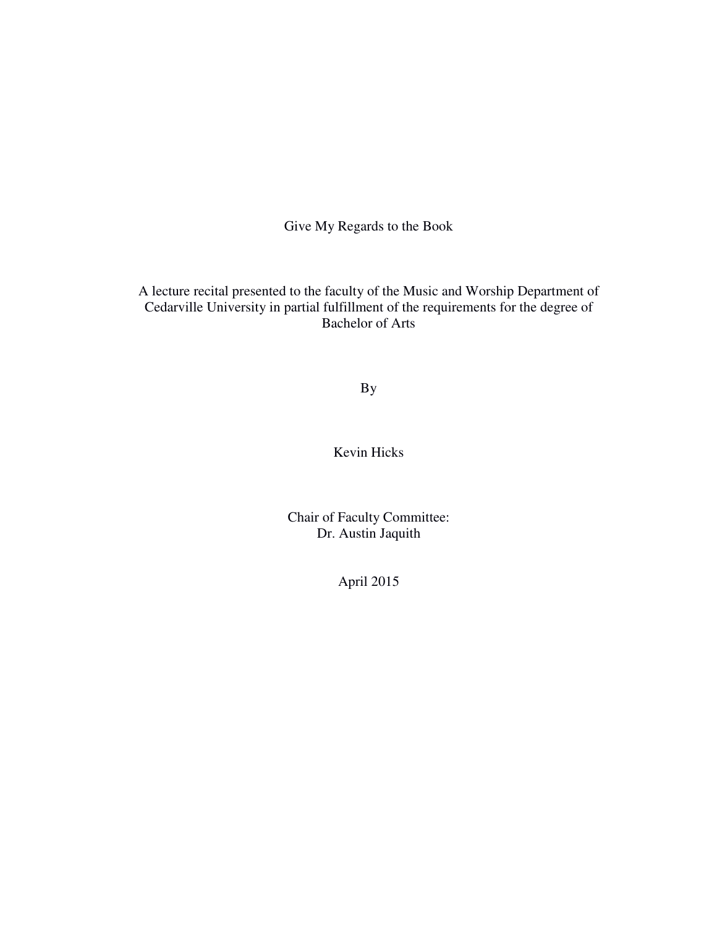Give My Regards to the Book

A lecture recital presented to the faculty of the Music and Worship Department of Cedarville University in partial fulfillment of the requirements for the degree of Bachelor of Arts

By

Kevin Hicks

Chair of Faculty Committee: Dr. Austin Jaquith

April 2015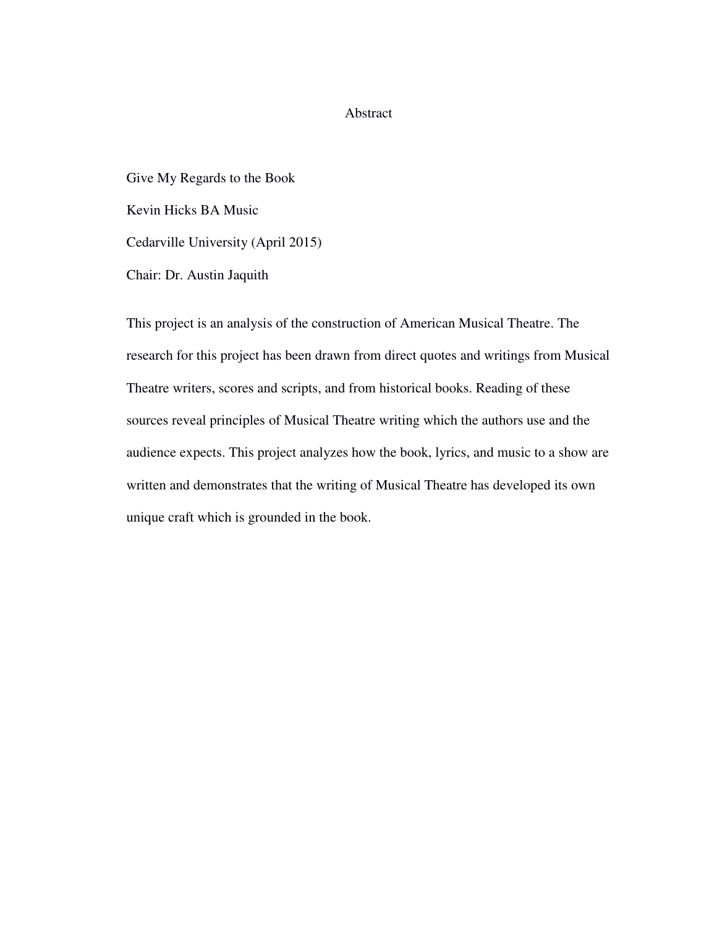### Abstract

Give My Regards to the Book

Kevin Hicks BA Music

Cedarville University (April 2015)

Chair: Dr. Austin Jaquith

This project is an analysis of the construction of American Musical Theatre. The research for this project has been drawn from direct quotes and writings from Musical Theatre writers, scores and scripts, and from historical books. Reading of these sources reveal principles of Musical Theatre writing which the authors use and the audience expects. This project analyzes how the book, lyrics, and music to a show are written and demonstrates that the writing of Musical Theatre has developed its own unique craft which is grounded in the book.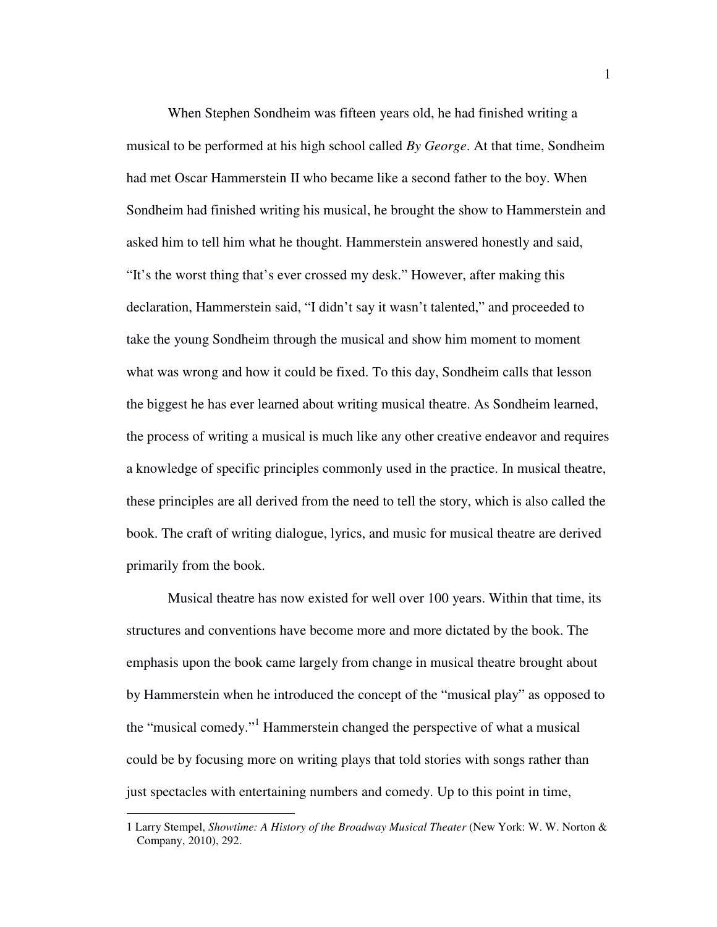When Stephen Sondheim was fifteen years old, he had finished writing a musical to be performed at his high school called *By George*. At that time, Sondheim had met Oscar Hammerstein II who became like a second father to the boy. When Sondheim had finished writing his musical, he brought the show to Hammerstein and asked him to tell him what he thought. Hammerstein answered honestly and said, "It's the worst thing that's ever crossed my desk." However, after making this declaration, Hammerstein said, "I didn't say it wasn't talented," and proceeded to take the young Sondheim through the musical and show him moment to moment what was wrong and how it could be fixed. To this day, Sondheim calls that lesson the biggest he has ever learned about writing musical theatre. As Sondheim learned, the process of writing a musical is much like any other creative endeavor and requires a knowledge of specific principles commonly used in the practice. In musical theatre, these principles are all derived from the need to tell the story, which is also called the book. The craft of writing dialogue, lyrics, and music for musical theatre are derived primarily from the book.

 Musical theatre has now existed for well over 100 years. Within that time, its structures and conventions have become more and more dictated by the book. The emphasis upon the book came largely from change in musical theatre brought about by Hammerstein when he introduced the concept of the "musical play" as opposed to the "musical comedy."<sup>1</sup> Hammerstein changed the perspective of what a musical could be by focusing more on writing plays that told stories with songs rather than just spectacles with entertaining numbers and comedy. Up to this point in time,

<sup>1</sup> Larry Stempel, *Showtime: A History of the Broadway Musical Theater* (New York: W. W. Norton & Company, 2010), 292.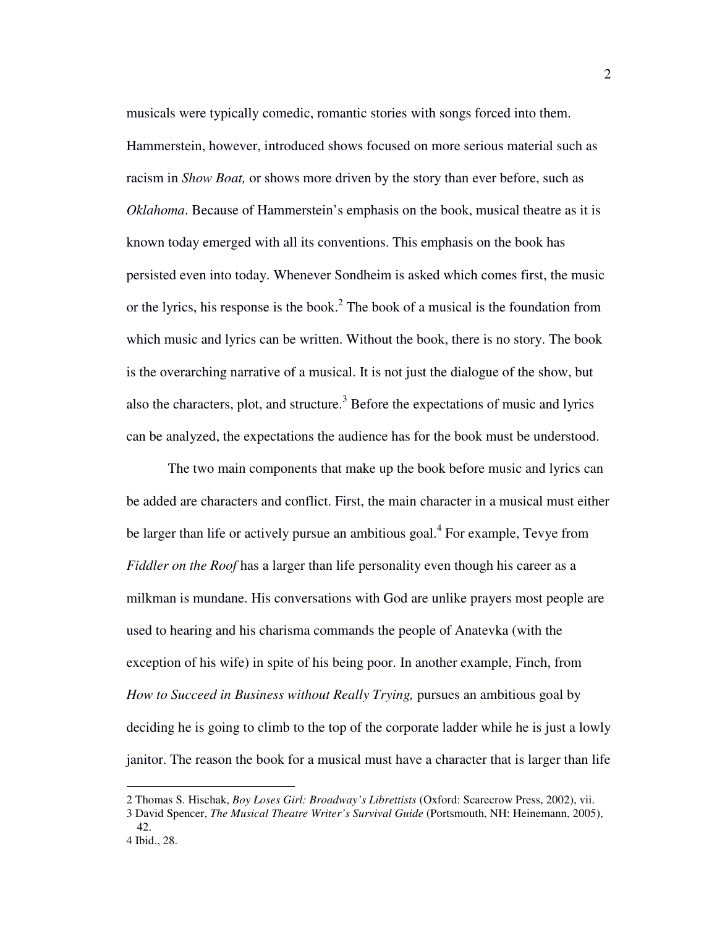musicals were typically comedic, romantic stories with songs forced into them. Hammerstein, however, introduced shows focused on more serious material such as racism in *Show Boat,* or shows more driven by the story than ever before, such as *Oklahoma*. Because of Hammerstein's emphasis on the book, musical theatre as it is known today emerged with all its conventions. This emphasis on the book has persisted even into today. Whenever Sondheim is asked which comes first, the music or the lyrics, his response is the book.<sup>2</sup> The book of a musical is the foundation from which music and lyrics can be written. Without the book, there is no story. The book is the overarching narrative of a musical. It is not just the dialogue of the show, but also the characters, plot, and structure.<sup>3</sup> Before the expectations of music and lyrics can be analyzed, the expectations the audience has for the book must be understood.

 The two main components that make up the book before music and lyrics can be added are characters and conflict. First, the main character in a musical must either be larger than life or actively pursue an ambitious goal.<sup>4</sup> For example, Tevye from *Fiddler on the Roof* has a larger than life personality even though his career as a milkman is mundane. His conversations with God are unlike prayers most people are used to hearing and his charisma commands the people of Anatevka (with the exception of his wife) in spite of his being poor. In another example, Finch, from *How to Succeed in Business without Really Trying,* pursues an ambitious goal by deciding he is going to climb to the top of the corporate ladder while he is just a lowly janitor. The reason the book for a musical must have a character that is larger than life

<sup>2</sup> Thomas S. Hischak, *Boy Loses Girl: Broadway's Librettists* (Oxford: Scarecrow Press, 2002), vii.

<sup>3</sup> David Spencer, *The Musical Theatre Writer's Survival Guide* (Portsmouth, NH: Heinemann, 2005), 42.

<sup>4</sup> Ibid., 28.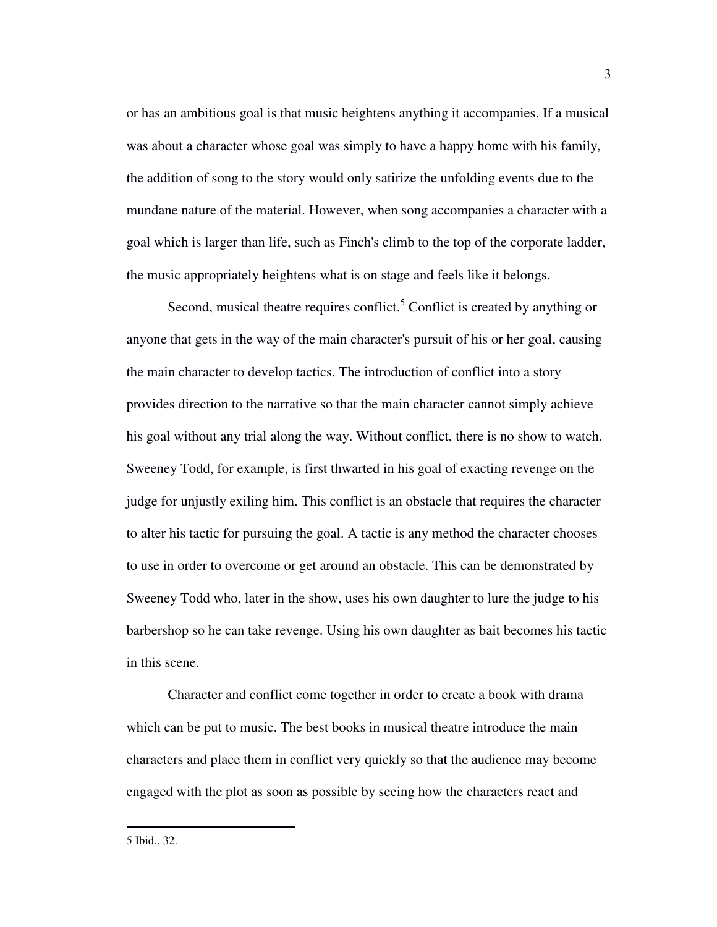or has an ambitious goal is that music heightens anything it accompanies. If a musical was about a character whose goal was simply to have a happy home with his family, the addition of song to the story would only satirize the unfolding events due to the mundane nature of the material. However, when song accompanies a character with a goal which is larger than life, such as Finch's climb to the top of the corporate ladder, the music appropriately heightens what is on stage and feels like it belongs.

Second, musical theatre requires conflict.<sup>5</sup> Conflict is created by anything or anyone that gets in the way of the main character's pursuit of his or her goal, causing the main character to develop tactics. The introduction of conflict into a story provides direction to the narrative so that the main character cannot simply achieve his goal without any trial along the way. Without conflict, there is no show to watch. Sweeney Todd, for example, is first thwarted in his goal of exacting revenge on the judge for unjustly exiling him. This conflict is an obstacle that requires the character to alter his tactic for pursuing the goal. A tactic is any method the character chooses to use in order to overcome or get around an obstacle. This can be demonstrated by Sweeney Todd who, later in the show, uses his own daughter to lure the judge to his barbershop so he can take revenge. Using his own daughter as bait becomes his tactic in this scene.

 Character and conflict come together in order to create a book with drama which can be put to music. The best books in musical theatre introduce the main characters and place them in conflict very quickly so that the audience may become engaged with the plot as soon as possible by seeing how the characters react and

3

5 Ibid., 32.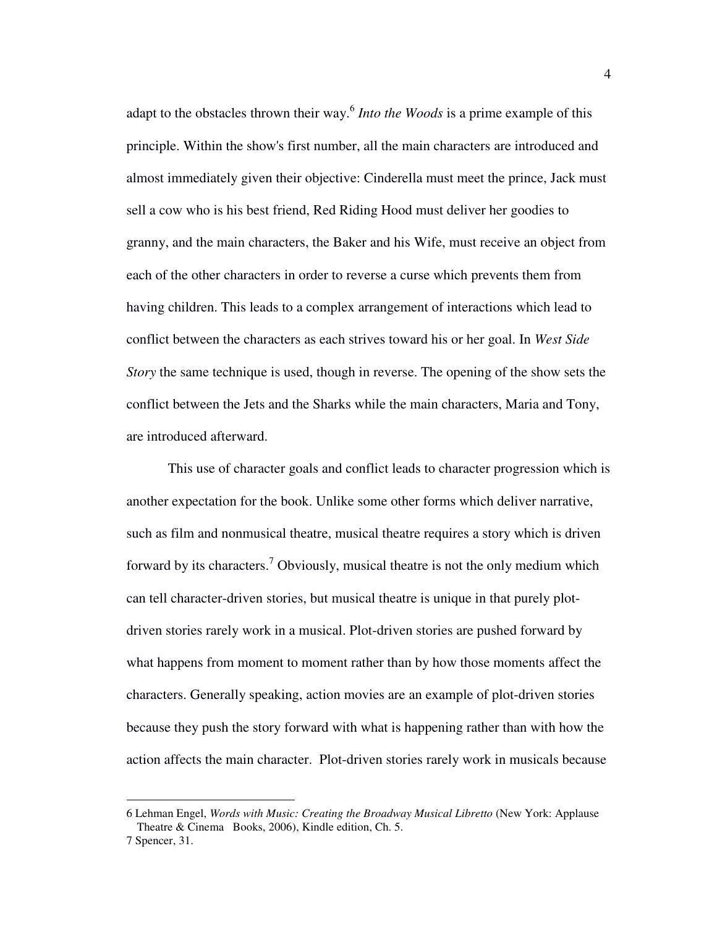adapt to the obstacles thrown their way.<sup>6</sup> *Into the Woods* is a prime example of this principle. Within the show's first number, all the main characters are introduced and almost immediately given their objective: Cinderella must meet the prince, Jack must sell a cow who is his best friend, Red Riding Hood must deliver her goodies to granny, and the main characters, the Baker and his Wife, must receive an object from each of the other characters in order to reverse a curse which prevents them from having children. This leads to a complex arrangement of interactions which lead to conflict between the characters as each strives toward his or her goal. In *West Side Story* the same technique is used, though in reverse. The opening of the show sets the conflict between the Jets and the Sharks while the main characters, Maria and Tony, are introduced afterward.

 This use of character goals and conflict leads to character progression which is another expectation for the book. Unlike some other forms which deliver narrative, such as film and nonmusical theatre, musical theatre requires a story which is driven forward by its characters.<sup>7</sup> Obviously, musical theatre is not the only medium which can tell character-driven stories, but musical theatre is unique in that purely plotdriven stories rarely work in a musical. Plot-driven stories are pushed forward by what happens from moment to moment rather than by how those moments affect the characters. Generally speaking, action movies are an example of plot-driven stories because they push the story forward with what is happening rather than with how the action affects the main character. Plot-driven stories rarely work in musicals because

<sup>6</sup> Lehman Engel, *Words with Music: Creating the Broadway Musical Libretto* (New York: Applause Theatre & Cinema Books, 2006), Kindle edition, Ch. 5.

<sup>7</sup> Spencer, 31.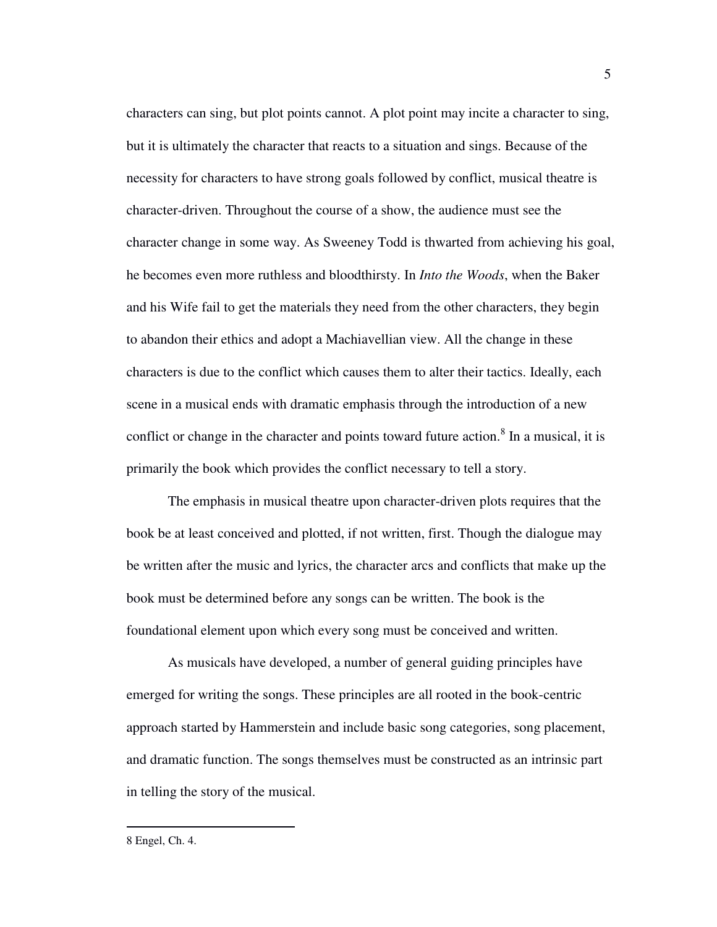characters can sing, but plot points cannot. A plot point may incite a character to sing, but it is ultimately the character that reacts to a situation and sings. Because of the necessity for characters to have strong goals followed by conflict, musical theatre is character-driven. Throughout the course of a show, the audience must see the character change in some way. As Sweeney Todd is thwarted from achieving his goal, he becomes even more ruthless and bloodthirsty. In *Into the Woods*, when the Baker and his Wife fail to get the materials they need from the other characters, they begin to abandon their ethics and adopt a Machiavellian view. All the change in these characters is due to the conflict which causes them to alter their tactics. Ideally, each scene in a musical ends with dramatic emphasis through the introduction of a new conflict or change in the character and points toward future action.<sup>8</sup> In a musical, it is primarily the book which provides the conflict necessary to tell a story.

 The emphasis in musical theatre upon character-driven plots requires that the book be at least conceived and plotted, if not written, first. Though the dialogue may be written after the music and lyrics, the character arcs and conflicts that make up the book must be determined before any songs can be written. The book is the foundational element upon which every song must be conceived and written.

 As musicals have developed, a number of general guiding principles have emerged for writing the songs. These principles are all rooted in the book-centric approach started by Hammerstein and include basic song categories, song placement, and dramatic function. The songs themselves must be constructed as an intrinsic part in telling the story of the musical.

5

<sup>8</sup> Engel, Ch. 4.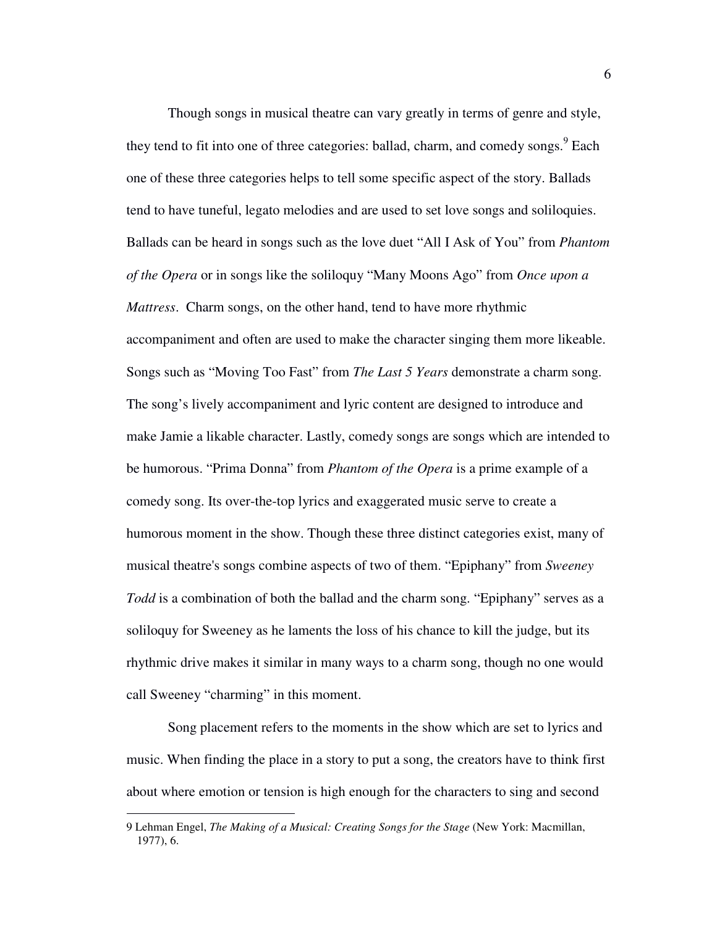Though songs in musical theatre can vary greatly in terms of genre and style, they tend to fit into one of three categories: ballad, charm, and comedy songs.<sup>9</sup> Each one of these three categories helps to tell some specific aspect of the story. Ballads tend to have tuneful, legato melodies and are used to set love songs and soliloquies. Ballads can be heard in songs such as the love duet "All I Ask of You" from *Phantom of the Opera* or in songs like the soliloquy "Many Moons Ago" from *Once upon a Mattress*. Charm songs, on the other hand, tend to have more rhythmic accompaniment and often are used to make the character singing them more likeable. Songs such as "Moving Too Fast" from *The Last 5 Years* demonstrate a charm song. The song's lively accompaniment and lyric content are designed to introduce and make Jamie a likable character. Lastly, comedy songs are songs which are intended to be humorous. "Prima Donna" from *Phantom of the Opera* is a prime example of a comedy song. Its over-the-top lyrics and exaggerated music serve to create a humorous moment in the show. Though these three distinct categories exist, many of musical theatre's songs combine aspects of two of them. "Epiphany" from *Sweeney Todd* is a combination of both the ballad and the charm song. "Epiphany" serves as a soliloquy for Sweeney as he laments the loss of his chance to kill the judge, but its rhythmic drive makes it similar in many ways to a charm song, though no one would call Sweeney "charming" in this moment.

 Song placement refers to the moments in the show which are set to lyrics and music. When finding the place in a story to put a song, the creators have to think first about where emotion or tension is high enough for the characters to sing and second

<sup>9</sup> Lehman Engel, *The Making of a Musical: Creating Songs for the Stage* (New York: Macmillan, 1977), 6.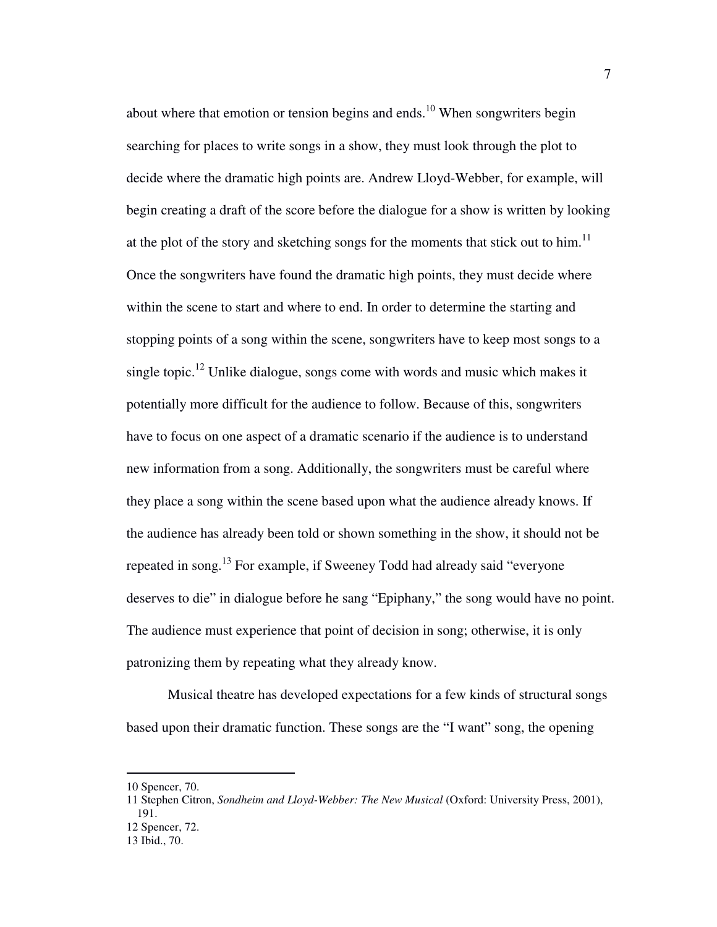about where that emotion or tension begins and ends.<sup>10</sup> When songwriters begin searching for places to write songs in a show, they must look through the plot to decide where the dramatic high points are. Andrew Lloyd-Webber, for example, will begin creating a draft of the score before the dialogue for a show is written by looking at the plot of the story and sketching songs for the moments that stick out to him.<sup>11</sup> Once the songwriters have found the dramatic high points, they must decide where within the scene to start and where to end. In order to determine the starting and stopping points of a song within the scene, songwriters have to keep most songs to a single topic.<sup>12</sup> Unlike dialogue, songs come with words and music which makes it potentially more difficult for the audience to follow. Because of this, songwriters have to focus on one aspect of a dramatic scenario if the audience is to understand new information from a song. Additionally, the songwriters must be careful where they place a song within the scene based upon what the audience already knows. If the audience has already been told or shown something in the show, it should not be repeated in song.<sup>13</sup> For example, if Sweeney Todd had already said "everyone" deserves to die" in dialogue before he sang "Epiphany," the song would have no point. The audience must experience that point of decision in song; otherwise, it is only patronizing them by repeating what they already know.

 Musical theatre has developed expectations for a few kinds of structural songs based upon their dramatic function. These songs are the "I want" song, the opening

<sup>10</sup> Spencer, 70.

<sup>11</sup> Stephen Citron, *Sondheim and Lloyd-Webber: The New Musical* (Oxford: University Press, 2001), 191.

<sup>12</sup> Spencer, 72.

<sup>13</sup> Ibid., 70.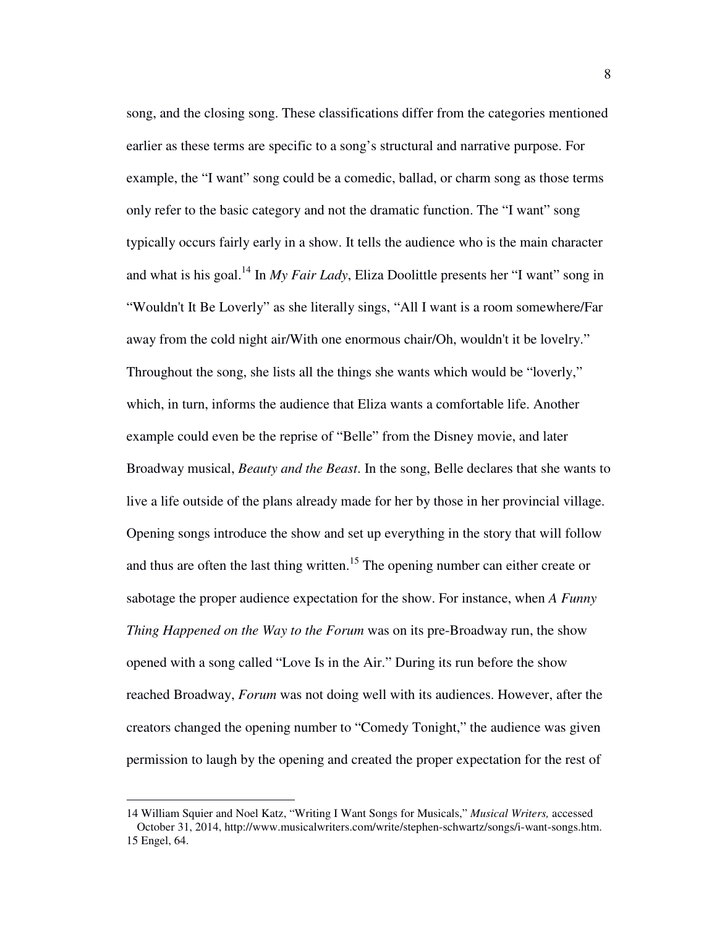song, and the closing song. These classifications differ from the categories mentioned earlier as these terms are specific to a song's structural and narrative purpose. For example, the "I want" song could be a comedic, ballad, or charm song as those terms only refer to the basic category and not the dramatic function. The "I want" song typically occurs fairly early in a show. It tells the audience who is the main character and what is his goal.<sup>14</sup> In *My Fair Lady*, Eliza Doolittle presents her "I want" song in "Wouldn't It Be Loverly" as she literally sings, "All I want is a room somewhere/Far away from the cold night air/With one enormous chair/Oh, wouldn't it be lovelry." Throughout the song, she lists all the things she wants which would be "loverly," which, in turn, informs the audience that Eliza wants a comfortable life. Another example could even be the reprise of "Belle" from the Disney movie, and later Broadway musical, *Beauty and the Beast*. In the song, Belle declares that she wants to live a life outside of the plans already made for her by those in her provincial village. Opening songs introduce the show and set up everything in the story that will follow and thus are often the last thing written.<sup>15</sup> The opening number can either create or sabotage the proper audience expectation for the show. For instance, when *A Funny Thing Happened on the Way to the Forum* was on its pre-Broadway run, the show opened with a song called "Love Is in the Air." During its run before the show reached Broadway, *Forum* was not doing well with its audiences. However, after the creators changed the opening number to "Comedy Tonight," the audience was given permission to laugh by the opening and created the proper expectation for the rest of

<sup>14</sup> William Squier and Noel Katz, "Writing I Want Songs for Musicals," *Musical Writers,* accessed October 31, 2014, http://www.musicalwriters.com/write/stephen-schwartz/songs/i-want-songs.htm. 15 Engel, 64.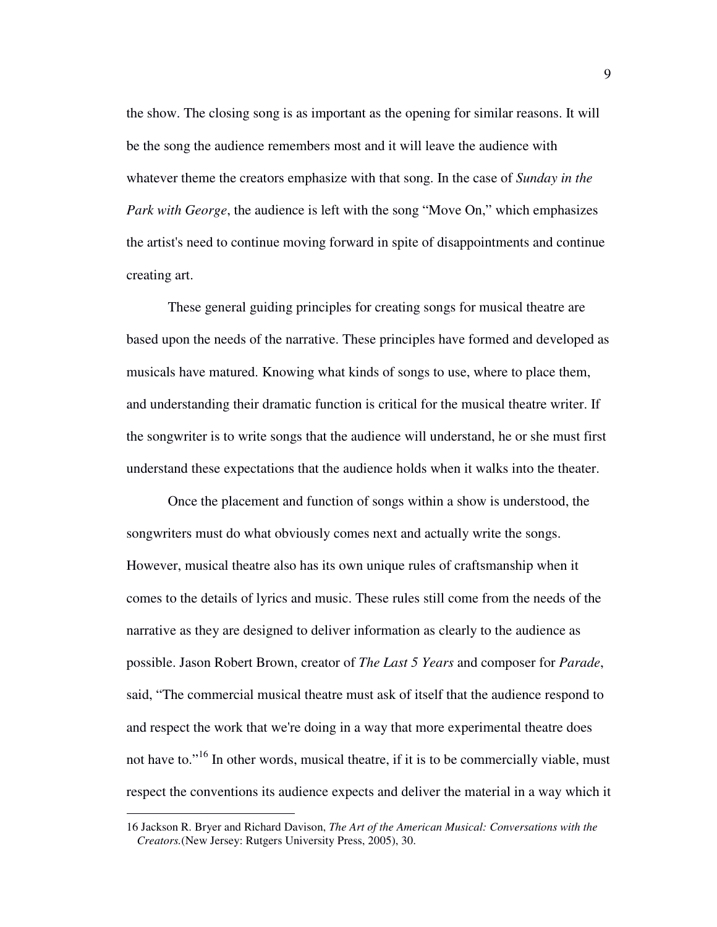the show. The closing song is as important as the opening for similar reasons. It will be the song the audience remembers most and it will leave the audience with whatever theme the creators emphasize with that song. In the case of *Sunday in the Park with George*, the audience is left with the song "Move On," which emphasizes the artist's need to continue moving forward in spite of disappointments and continue creating art.

 These general guiding principles for creating songs for musical theatre are based upon the needs of the narrative. These principles have formed and developed as musicals have matured. Knowing what kinds of songs to use, where to place them, and understanding their dramatic function is critical for the musical theatre writer. If the songwriter is to write songs that the audience will understand, he or she must first understand these expectations that the audience holds when it walks into the theater.

 Once the placement and function of songs within a show is understood, the songwriters must do what obviously comes next and actually write the songs. However, musical theatre also has its own unique rules of craftsmanship when it comes to the details of lyrics and music. These rules still come from the needs of the narrative as they are designed to deliver information as clearly to the audience as possible. Jason Robert Brown, creator of *The Last 5 Years* and composer for *Parade*, said, "The commercial musical theatre must ask of itself that the audience respond to and respect the work that we're doing in a way that more experimental theatre does not have to."<sup>16</sup> In other words, musical theatre, if it is to be commercially viable, must respect the conventions its audience expects and deliver the material in a way which it

<sup>16</sup> Jackson R. Bryer and Richard Davison, *The Art of the American Musical: Conversations with the Creators.*(New Jersey: Rutgers University Press, 2005), 30.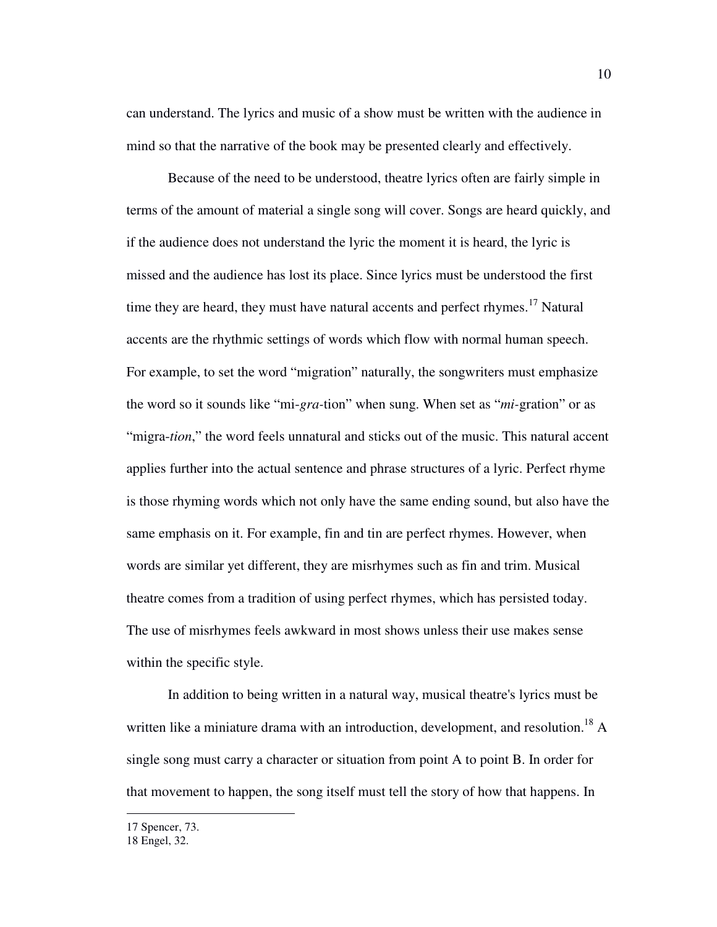can understand. The lyrics and music of a show must be written with the audience in mind so that the narrative of the book may be presented clearly and effectively.

 Because of the need to be understood, theatre lyrics often are fairly simple in terms of the amount of material a single song will cover. Songs are heard quickly, and if the audience does not understand the lyric the moment it is heard, the lyric is missed and the audience has lost its place. Since lyrics must be understood the first time they are heard, they must have natural accents and perfect rhymes.<sup>17</sup> Natural accents are the rhythmic settings of words which flow with normal human speech. For example, to set the word "migration" naturally, the songwriters must emphasize the word so it sounds like "mi-*gra-*tion" when sung. When set as "*mi-*gration" or as "migra-*tion*," the word feels unnatural and sticks out of the music. This natural accent applies further into the actual sentence and phrase structures of a lyric. Perfect rhyme is those rhyming words which not only have the same ending sound, but also have the same emphasis on it. For example, fin and tin are perfect rhymes. However, when words are similar yet different, they are misrhymes such as fin and trim. Musical theatre comes from a tradition of using perfect rhymes, which has persisted today. The use of misrhymes feels awkward in most shows unless their use makes sense within the specific style.

In addition to being written in a natural way, musical theatre's lyrics must be written like a miniature drama with an introduction, development, and resolution.<sup>18</sup> A single song must carry a character or situation from point A to point B. In order for that movement to happen, the song itself must tell the story of how that happens. In

<sup>17</sup> Spencer, 73.

<sup>18</sup> Engel, 32.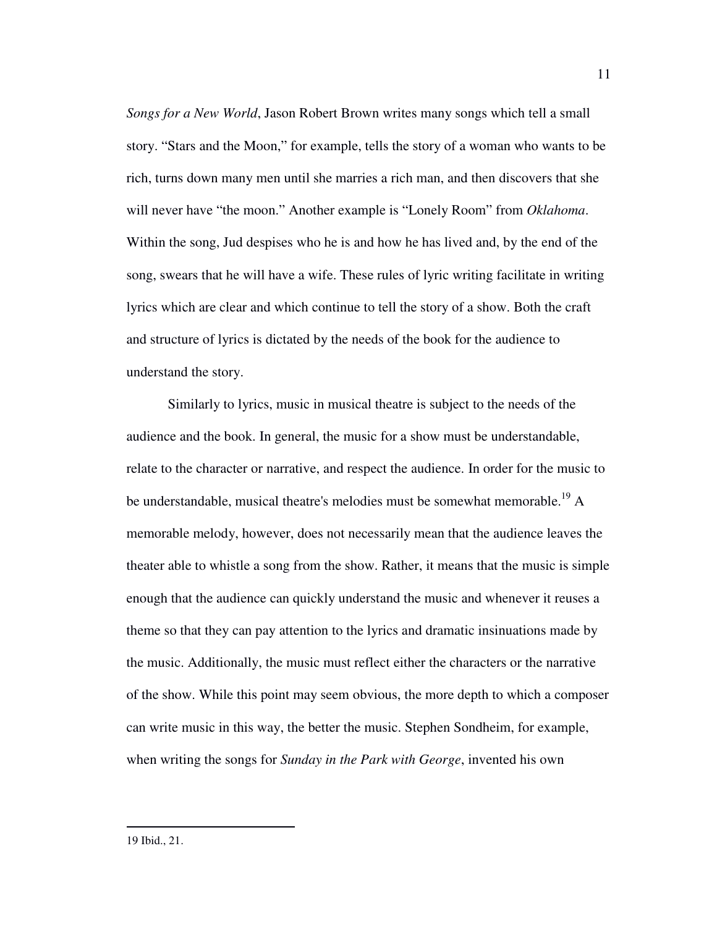*Songs for a New World*, Jason Robert Brown writes many songs which tell a small story. "Stars and the Moon," for example, tells the story of a woman who wants to be rich, turns down many men until she marries a rich man, and then discovers that she will never have "the moon." Another example is "Lonely Room" from *Oklahoma*. Within the song, Jud despises who he is and how he has lived and, by the end of the song, swears that he will have a wife. These rules of lyric writing facilitate in writing lyrics which are clear and which continue to tell the story of a show. Both the craft and structure of lyrics is dictated by the needs of the book for the audience to understand the story.

 Similarly to lyrics, music in musical theatre is subject to the needs of the audience and the book. In general, the music for a show must be understandable, relate to the character or narrative, and respect the audience. In order for the music to be understandable, musical theatre's melodies must be somewhat memorable.<sup>19</sup> A memorable melody, however, does not necessarily mean that the audience leaves the theater able to whistle a song from the show. Rather, it means that the music is simple enough that the audience can quickly understand the music and whenever it reuses a theme so that they can pay attention to the lyrics and dramatic insinuations made by the music. Additionally, the music must reflect either the characters or the narrative of the show. While this point may seem obvious, the more depth to which a composer can write music in this way, the better the music. Stephen Sondheim, for example, when writing the songs for *Sunday in the Park with George*, invented his own

<sup>19</sup> Ibid., 21.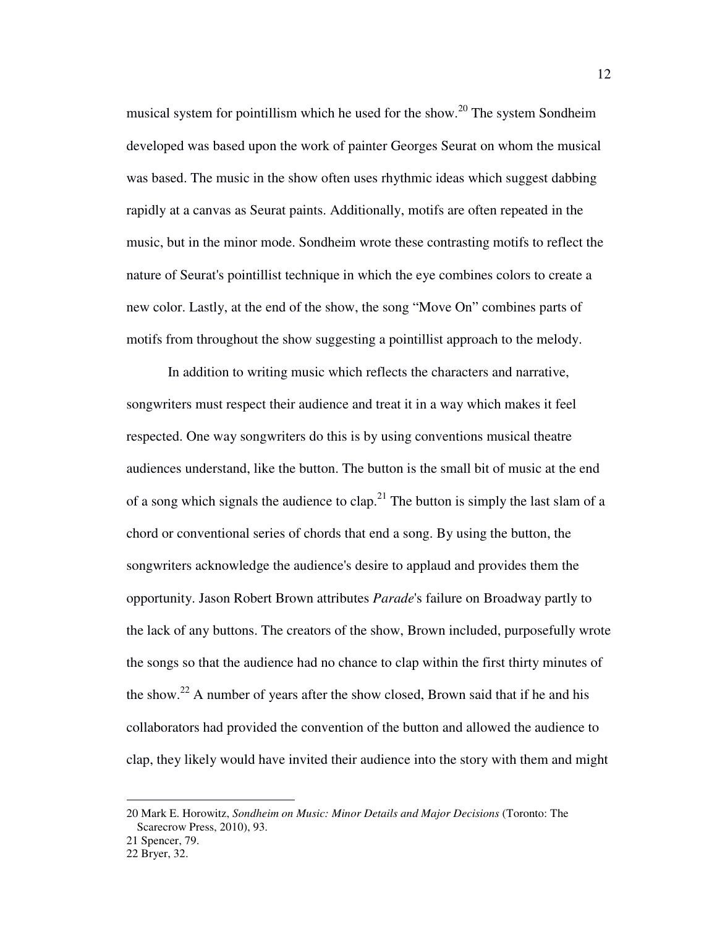musical system for pointillism which he used for the show.<sup>20</sup> The system Sondheim developed was based upon the work of painter Georges Seurat on whom the musical was based. The music in the show often uses rhythmic ideas which suggest dabbing rapidly at a canvas as Seurat paints. Additionally, motifs are often repeated in the music, but in the minor mode. Sondheim wrote these contrasting motifs to reflect the nature of Seurat's pointillist technique in which the eye combines colors to create a new color. Lastly, at the end of the show, the song "Move On" combines parts of motifs from throughout the show suggesting a pointillist approach to the melody.

In addition to writing music which reflects the characters and narrative, songwriters must respect their audience and treat it in a way which makes it feel respected. One way songwriters do this is by using conventions musical theatre audiences understand, like the button. The button is the small bit of music at the end of a song which signals the audience to clap.<sup>21</sup> The button is simply the last slam of a chord or conventional series of chords that end a song. By using the button, the songwriters acknowledge the audience's desire to applaud and provides them the opportunity. Jason Robert Brown attributes *Parade*'s failure on Broadway partly to the lack of any buttons. The creators of the show, Brown included, purposefully wrote the songs so that the audience had no chance to clap within the first thirty minutes of the show.<sup>22</sup> A number of years after the show closed, Brown said that if he and his collaborators had provided the convention of the button and allowed the audience to clap, they likely would have invited their audience into the story with them and might

<u>.</u>

<sup>20</sup> Mark E. Horowitz, *Sondheim on Music: Minor Details and Major Decisions* (Toronto: The Scarecrow Press, 2010), 93.

<sup>21</sup> Spencer, 79.

<sup>22</sup> Bryer, 32.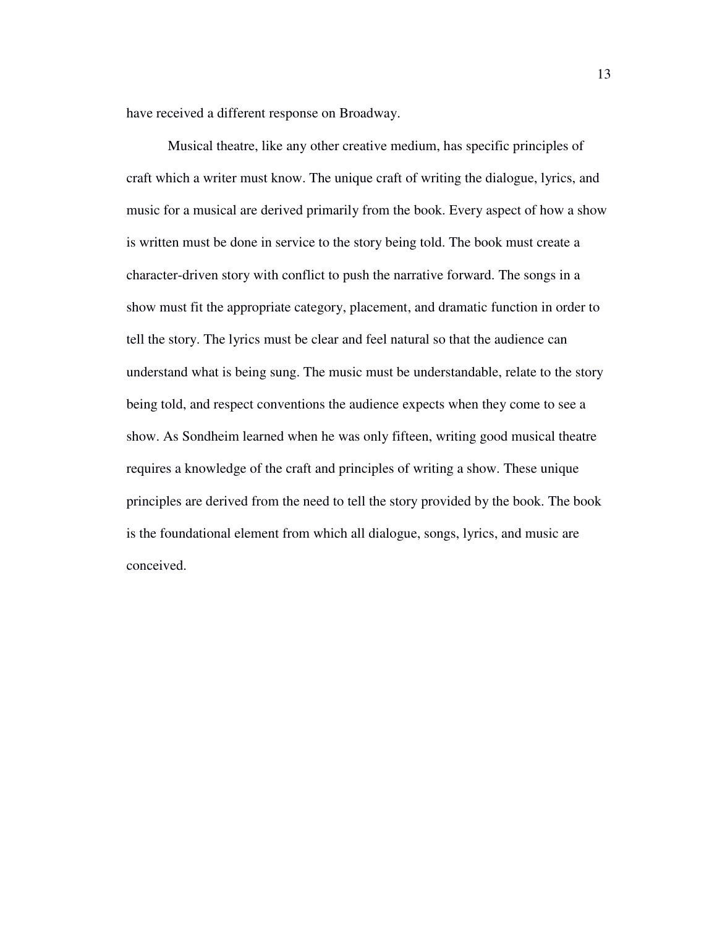have received a different response on Broadway.

 Musical theatre, like any other creative medium, has specific principles of craft which a writer must know. The unique craft of writing the dialogue, lyrics, and music for a musical are derived primarily from the book. Every aspect of how a show is written must be done in service to the story being told. The book must create a character-driven story with conflict to push the narrative forward. The songs in a show must fit the appropriate category, placement, and dramatic function in order to tell the story. The lyrics must be clear and feel natural so that the audience can understand what is being sung. The music must be understandable, relate to the story being told, and respect conventions the audience expects when they come to see a show. As Sondheim learned when he was only fifteen, writing good musical theatre requires a knowledge of the craft and principles of writing a show. These unique principles are derived from the need to tell the story provided by the book. The book is the foundational element from which all dialogue, songs, lyrics, and music are conceived.